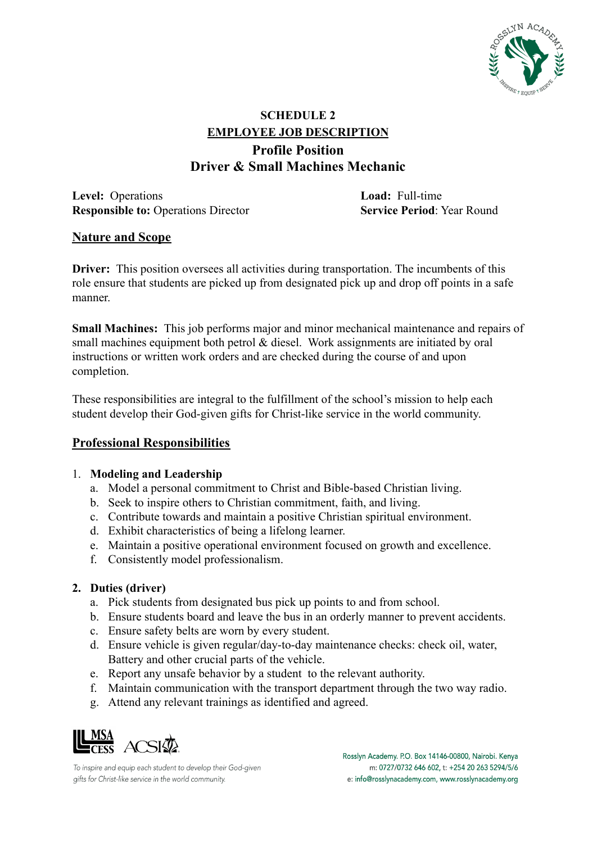

# **SCHEDULE 2 EMPLOYEE JOB DESCRIPTION Profile Position Driver & Small Machines Mechanic**

**Level:** Operations **Load:** Full-time **Responsible to:** Operations Director **Service Period**: Year Round

# **Nature and Scope**

**Driver:** This position oversees all activities during transportation. The incumbents of this role ensure that students are picked up from designated pick up and drop off points in a safe manner.

**Small Machines:** This job performs major and minor mechanical maintenance and repairs of small machines equipment both petrol & diesel. Work assignments are initiated by oral instructions or written work orders and are checked during the course of and upon completion.

These responsibilities are integral to the fulfillment of the school's mission to help each student develop their God-given gifts for Christ-like service in the world community.

# **Professional Responsibilities**

# 1. **Modeling and Leadership**

- a. Model a personal commitment to Christ and Bible-based Christian living.
- b. Seek to inspire others to Christian commitment, faith, and living.
- c. Contribute towards and maintain a positive Christian spiritual environment.
- d. Exhibit characteristics of being a lifelong learner.
- e. Maintain a positive operational environment focused on growth and excellence.
- f. Consistently model professionalism.

# **2. Duties (driver)**

- a. Pick students from designated bus pick up points to and from school.
- b. Ensure students board and leave the bus in an orderly manner to prevent accidents.
- c. Ensure safety belts are worn by every student.
- d. Ensure vehicle is given regular/day-to-day maintenance checks: check oil, water, Battery and other crucial parts of the vehicle.
- e. Report any unsafe behavior by a student to the relevant authority.
- f. Maintain communication with the transport department through the two way radio.
- g. Attend any relevant trainings as identified and agreed.



To inspire and equip each student to develop their God-given gifts for Christ-like service in the world community.

Rosslyn Academy. P.O. Box 14146-00800, Nairobi. Kenya m: 0727/0732 646 602, t: +254 20 263 5294/5/6 e: info@rosslynacademy.com, www.rosslynacademy.org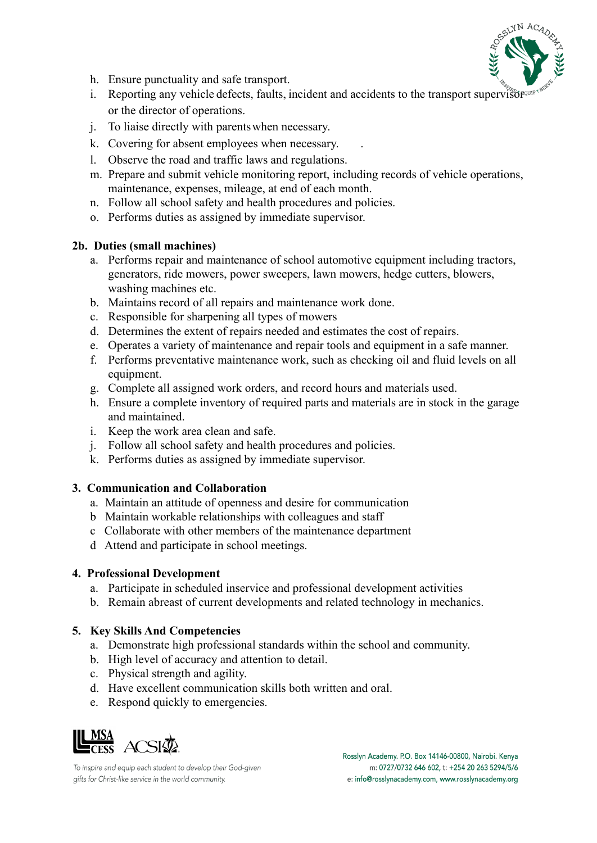

- h. Ensure punctuality and safe transport.
- i. Reporting any vehicle defects, faults, incident and accidents to the transport supervisor or the director of operations.
- j. To liaise directly with parentswhen necessary.
- k. Covering for absent employees when necessary.
- l. Observe the road and traffic laws and regulations.
- m. Prepare and submit vehicle monitoring report, including records of vehicle operations, maintenance, expenses, mileage, at end of each month.
- n. Follow all school safety and health procedures and policies.
- o. Performs duties as assigned by immediate supervisor.

#### **2b. Duties (small machines)**

- a. Performs repair and maintenance of school automotive equipment including tractors, generators, ride mowers, power sweepers, lawn mowers, hedge cutters, blowers, washing machines etc.
- b. Maintains record of all repairs and maintenance work done.
- c. Responsible for sharpening all types of mowers
- d. Determines the extent of repairs needed and estimates the cost of repairs.
- e. Operates a variety of maintenance and repair tools and equipment in a safe manner.
- f. Performs preventative maintenance work, such as checking oil and fluid levels on all equipment.
- g. Complete all assigned work orders, and record hours and materials used.
- h. Ensure a complete inventory of required parts and materials are in stock in the garage and maintained.
- i. Keep the work area clean and safe.
- j. Follow all school safety and health procedures and policies.
- k. Performs duties as assigned by immediate supervisor.

# **3. Communication and Collaboration**

- a. Maintain an attitude of openness and desire for communication
- b Maintain workable relationships with colleagues and staff
- c Collaborate with other members of the maintenance department
- d Attend and participate in school meetings.

# **4. Professional Development**

- a. Participate in scheduled inservice and professional development activities
- b. Remain abreast of current developments and related technology in mechanics.

# **5. Key Skills And Competencies**

- a. Demonstrate high professional standards within the school and community.
- b. High level of accuracy and attention to detail.
- c. Physical strength and agility.
- d. Have excellent communication skills both written and oral.
- e. Respond quickly to emergencies.



To inspire and equip each student to develop their God-given gifts for Christ-like service in the world community.